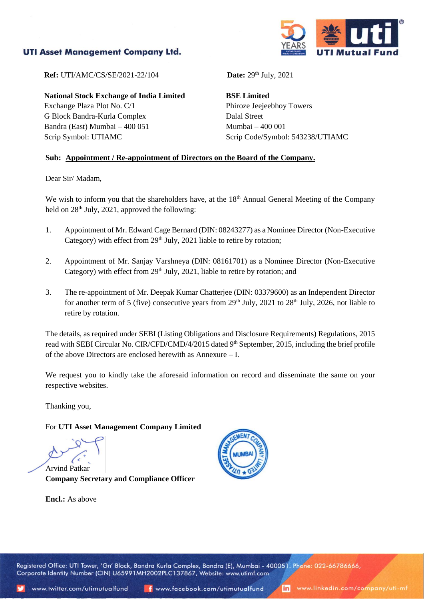## **UTI Asset Management Company Ltd.**



**Ref:** UTI/AMC/CS/SE/2021-22/104

**National Stock Exchange of India Limited**

Exchange Plaza Plot No. C/1 G Block Bandra-Kurla Complex Bandra (East) Mumbai – 400 051 Scrip Symbol: UTIAMC

Date:  $29<sup>th</sup>$  July,  $2021$ 

**BSE Limited** Phiroze Jeejeebhoy Towers Dalal Street Mumbai – 400 001 Scrip Code/Symbol: 543238/UTIAMC

## **Sub: Appointment / Re-appointment of Directors on the Board of the Company.**

Dear Sir/ Madam,

We wish to inform you that the shareholders have, at the 18<sup>th</sup> Annual General Meeting of the Company held on 28<sup>th</sup> July, 2021, approved the following:

- 1. Appointment of Mr. Edward Cage Bernard (DIN: 08243277) as a Nominee Director (Non-Executive Category) with effect from 29<sup>th</sup> July, 2021 liable to retire by rotation;
- 2. Appointment of Mr. Sanjay Varshneya (DIN: 08161701) as a Nominee Director (Non-Executive Category) with effect from 29<sup>th</sup> July, 2021, liable to retire by rotation; and
- 3. The re-appointment of Mr. Deepak Kumar Chatterjee (DIN: 03379600) as an Independent Director for another term of 5 (five) consecutive years from  $29<sup>th</sup>$  July,  $2021$  to  $28<sup>th</sup>$  July,  $2026$ , not liable to retire by rotation.

The details, as required under SEBI (Listing Obligations and Disclosure Requirements) Regulations, 2015 read with SEBI Circular No. CIR/CFD/CMD/4/2015 dated 9<sup>th</sup> September, 2015, including the brief profile of the above Directors are enclosed herewith as Annexure – I.

We request you to kindly take the aforesaid information on record and disseminate the same on your respective websites.

Thanking you,

For **UTI Asset Management Company Limited**

Arvind Patkar **Company Secretary and Compliance Officer**

**Encl.:** As above



Registered Office: UTI Tower, 'Gn' Block, Bandra Kurla Complex, Bandra (E), Mumbai - 400051. Phone: 022-66786666, Corporate Identity Number (CIN) U65991MH2002PLC137867, Website: www.utimf.com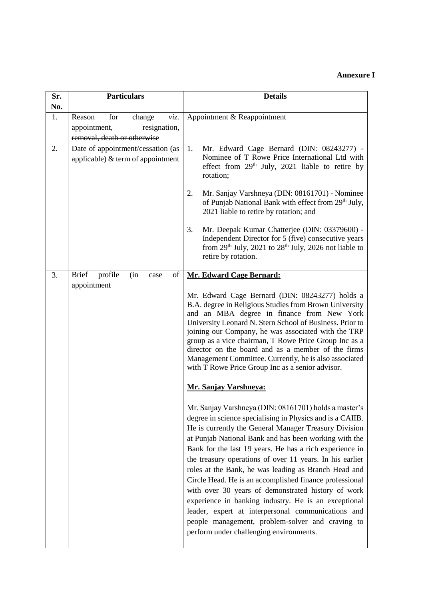## **Annexure I**

| Sr.<br>No. | <b>Particulars</b>                                                                             | <b>Details</b>                                                                                                                                                                                                                                                                                                                                                                                                                                                                                                                                                                                                                                                                                                                                    |
|------------|------------------------------------------------------------------------------------------------|---------------------------------------------------------------------------------------------------------------------------------------------------------------------------------------------------------------------------------------------------------------------------------------------------------------------------------------------------------------------------------------------------------------------------------------------------------------------------------------------------------------------------------------------------------------------------------------------------------------------------------------------------------------------------------------------------------------------------------------------------|
| 1.         | Reason<br>for<br>change<br>viz.<br>appointment,<br>resignation,<br>removal, death or otherwise | Appointment & Reappointment                                                                                                                                                                                                                                                                                                                                                                                                                                                                                                                                                                                                                                                                                                                       |
| 2.         | Date of appointment/cessation (as<br>applicable) $&$ term of appointment                       | 1.<br>Mr. Edward Cage Bernard (DIN: 08243277) -<br>Nominee of T Rowe Price International Ltd with<br>effect from 29 <sup>th</sup> July, 2021 liable to retire by<br>rotation;                                                                                                                                                                                                                                                                                                                                                                                                                                                                                                                                                                     |
|            |                                                                                                | Mr. Sanjay Varshneya (DIN: 08161701) - Nominee<br>2.<br>of Punjab National Bank with effect from 29th July,<br>2021 liable to retire by rotation; and                                                                                                                                                                                                                                                                                                                                                                                                                                                                                                                                                                                             |
|            |                                                                                                | 3.<br>Mr. Deepak Kumar Chatterjee (DIN: 03379600) -<br>Independent Director for 5 (five) consecutive years<br>from $29th$ July, $2021$ to $28th$ July, $2026$ not liable to<br>retire by rotation.                                                                                                                                                                                                                                                                                                                                                                                                                                                                                                                                                |
| 3.         | profile<br><b>Brief</b><br>of<br>(in<br>case                                                   | <b>Mr. Edward Cage Bernard:</b>                                                                                                                                                                                                                                                                                                                                                                                                                                                                                                                                                                                                                                                                                                                   |
|            | appointment                                                                                    | Mr. Edward Cage Bernard (DIN: 08243277) holds a<br>B.A. degree in Religious Studies from Brown University<br>and an MBA degree in finance from New York<br>University Leonard N. Stern School of Business. Prior to<br>joining our Company, he was associated with the TRP<br>group as a vice chairman, T Rowe Price Group Inc as a<br>director on the board and as a member of the firms<br>Management Committee. Currently, he is also associated<br>with T Rowe Price Group Inc as a senior advisor.                                                                                                                                                                                                                                           |
|            |                                                                                                | <b>Mr. Sanjay Varshneya:</b>                                                                                                                                                                                                                                                                                                                                                                                                                                                                                                                                                                                                                                                                                                                      |
|            |                                                                                                | Mr. Sanjay Varshneya (DIN: 08161701) holds a master's<br>degree in science specialising in Physics and is a CAIIB.<br>He is currently the General Manager Treasury Division<br>at Punjab National Bank and has been working with the<br>Bank for the last 19 years. He has a rich experience in<br>the treasury operations of over 11 years. In his earlier<br>roles at the Bank, he was leading as Branch Head and<br>Circle Head. He is an accomplished finance professional<br>with over 30 years of demonstrated history of work<br>experience in banking industry. He is an exceptional<br>leader, expert at interpersonal communications and<br>people management, problem-solver and craving to<br>perform under challenging environments. |